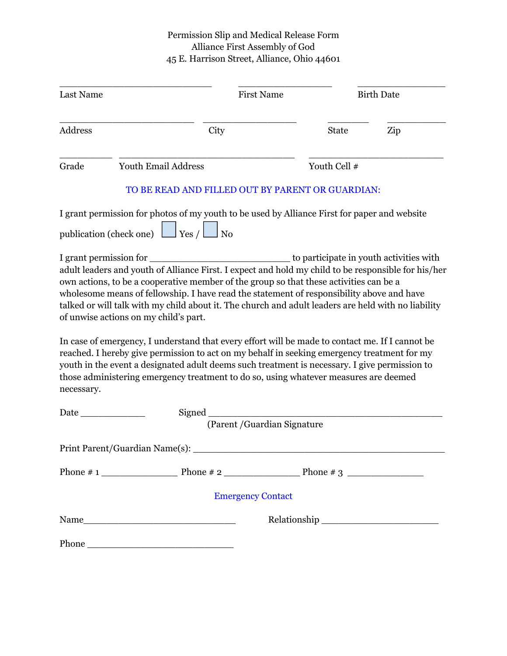## Permission Slip and Medical Release Form Alliance First Assembly of God 45 E. Harrison Street, Alliance, Ohio 44601

| Last Name                         |                                                                                                                                                                                                                                                                                                                                                                                                                                            | <b>First Name</b>            |              | <b>Birth Date</b>                                                         |  |
|-----------------------------------|--------------------------------------------------------------------------------------------------------------------------------------------------------------------------------------------------------------------------------------------------------------------------------------------------------------------------------------------------------------------------------------------------------------------------------------------|------------------------------|--------------|---------------------------------------------------------------------------|--|
| <b>Address</b>                    | City                                                                                                                                                                                                                                                                                                                                                                                                                                       |                              | <b>State</b> | Zip                                                                       |  |
| Grade                             | Youth Email Address                                                                                                                                                                                                                                                                                                                                                                                                                        |                              | Youth Cell # |                                                                           |  |
|                                   | TO BE READ AND FILLED OUT BY PARENT OR GUARDIAN:                                                                                                                                                                                                                                                                                                                                                                                           |                              |              |                                                                           |  |
| publication (check one) $\lfloor$ | I grant permission for photos of my youth to be used by Alliance First for paper and website<br>$\Box$ Yes / $\Box$ No                                                                                                                                                                                                                                                                                                                     |                              |              |                                                                           |  |
|                                   | adult leaders and youth of Alliance First. I expect and hold my child to be responsible for his/her<br>own actions, to be a cooperative member of the group so that these activities can be a<br>wholesome means of fellowship. I have read the statement of responsibility above and have<br>talked or will talk with my child about it. The church and adult leaders are held with no liability<br>of unwise actions on my child's part. |                              |              |                                                                           |  |
| necessary.                        | In case of emergency, I understand that every effort will be made to contact me. If I cannot be<br>reached. I hereby give permission to act on my behalf in seeking emergency treatment for my<br>youth in the event a designated adult deems such treatment is necessary. I give permission to<br>those administering emergency treatment to do so, using whatever measures are deemed                                                    |                              |              |                                                                           |  |
| Date                              | Signed                                                                                                                                                                                                                                                                                                                                                                                                                                     |                              |              |                                                                           |  |
|                                   |                                                                                                                                                                                                                                                                                                                                                                                                                                            | (Parent / Guardian Signature |              |                                                                           |  |
|                                   | Print Parent/Guardian Name(s):                                                                                                                                                                                                                                                                                                                                                                                                             |                              |              |                                                                           |  |
|                                   |                                                                                                                                                                                                                                                                                                                                                                                                                                            |                              |              |                                                                           |  |
|                                   |                                                                                                                                                                                                                                                                                                                                                                                                                                            | <b>Emergency Contact</b>     |              |                                                                           |  |
|                                   |                                                                                                                                                                                                                                                                                                                                                                                                                                            |                              |              | $\begin{minipage}[c]{0.9\linewidth} \textbf{Relationship} \end{minipage}$ |  |
|                                   | Phone                                                                                                                                                                                                                                                                                                                                                                                                                                      |                              |              |                                                                           |  |